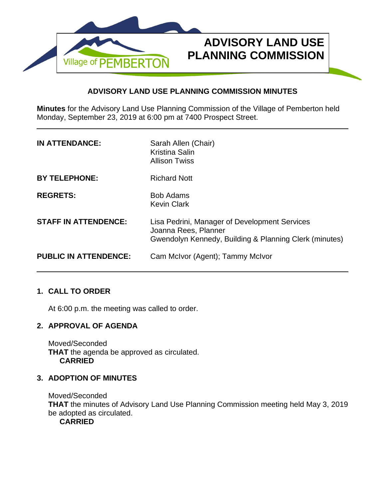

# **ADVISORY LAND USE PLANNING COMMISSION MINUTES**

**Minutes** for the Advisory Land Use Planning Commission of the Village of Pemberton held Monday, September 23, 2019 at 6:00 pm at 7400 Prospect Street.

| <b>IN ATTENDANCE:</b>        | Sarah Allen (Chair)<br><b>Kristina Salin</b><br><b>Allison Twiss</b>                                                            |
|------------------------------|---------------------------------------------------------------------------------------------------------------------------------|
| <b>BY TELEPHONE:</b>         | <b>Richard Nott</b>                                                                                                             |
| <b>REGRETS:</b>              | <b>Bob Adams</b><br><b>Kevin Clark</b>                                                                                          |
| <b>STAFF IN ATTENDENCE:</b>  | Lisa Pedrini, Manager of Development Services<br>Joanna Rees, Planner<br>Gwendolyn Kennedy, Building & Planning Clerk (minutes) |
| <b>PUBLIC IN ATTENDENCE:</b> | Cam McIvor (Agent); Tammy McIvor                                                                                                |

# **1. CALL TO ORDER**

At 6:00 p.m. the meeting was called to order.

# **2. APPROVAL OF AGENDA**

Moved/Seconded **THAT** the agenda be approved as circulated. **CARRIED**

## **3. ADOPTION OF MINUTES**

Moved/Seconded **THAT** the minutes of Advisory Land Use Planning Commission meeting held May 3, 2019 be adopted as circulated. **CARRIED**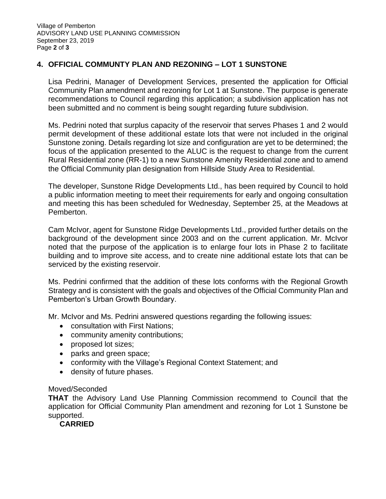# **4. OFFICIAL COMMUNTY PLAN AND REZONING – LOT 1 SUNSTONE**

Lisa Pedrini, Manager of Development Services, presented the application for Official Community Plan amendment and rezoning for Lot 1 at Sunstone. The purpose is generate recommendations to Council regarding this application; a subdivision application has not been submitted and no comment is being sought regarding future subdivision.

Ms. Pedrini noted that surplus capacity of the reservoir that serves Phases 1 and 2 would permit development of these additional estate lots that were not included in the original Sunstone zoning. Details regarding lot size and configuration are yet to be determined; the focus of the application presented to the ALUC is the request to change from the current Rural Residential zone (RR-1) to a new Sunstone Amenity Residential zone and to amend the Official Community plan designation from Hillside Study Area to Residential.

The developer, Sunstone Ridge Developments Ltd., has been required by Council to hold a public information meeting to meet their requirements for early and ongoing consultation and meeting this has been scheduled for Wednesday, September 25, at the Meadows at Pemberton.

Cam McIvor, agent for Sunstone Ridge Developments Ltd., provided further details on the background of the development since 2003 and on the current application. Mr. McIvor noted that the purpose of the application is to enlarge four lots in Phase 2 to facilitate building and to improve site access, and to create nine additional estate lots that can be serviced by the existing reservoir.

Ms. Pedrini confirmed that the addition of these lots conforms with the Regional Growth Strategy and is consistent with the goals and objectives of the Official Community Plan and Pemberton's Urban Growth Boundary.

Mr. McIvor and Ms. Pedrini answered questions regarding the following issues:

- consultation with First Nations;
- community amenity contributions;
- proposed lot sizes;
- parks and green space;
- conformity with the Village's Regional Context Statement; and
- density of future phases.

#### Moved/Seconded

**THAT** the Advisory Land Use Planning Commission recommend to Council that the application for Official Community Plan amendment and rezoning for Lot 1 Sunstone be supported.

**CARRIED**